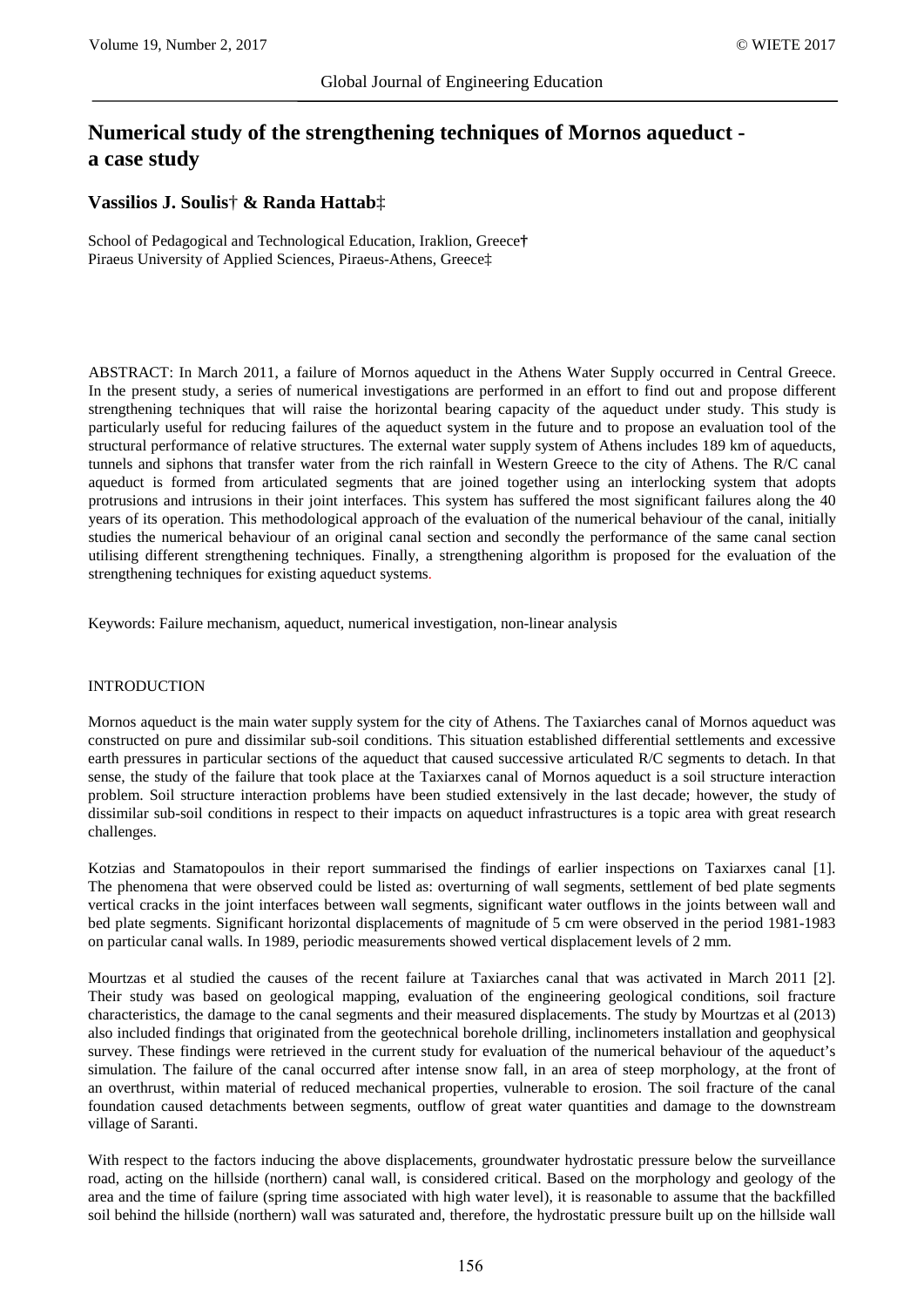# **Numerical study of the strengthening techniques of Mornos aqueduct a case study**

### **Vassilios J. Soulis**† **& Randa Hattab**‡

School of Pedagogical and Technological Education, Iraklion, Greece**†** Piraeus University of Applied Sciences, Piraeus-Athens, Greece‡

ABSTRACT: In March 2011, a failure of Mornos aqueduct in the Athens Water Supply occurred in Central Greece. In the present study, a series of numerical investigations are performed in an effort to find out and propose different strengthening techniques that will raise the horizontal bearing capacity of the aqueduct under study. This study is particularly useful for reducing failures of the aqueduct system in the future and to propose an evaluation tool of the structural performance of relative structures. The external water supply system of Athens includes 189 km of aqueducts, tunnels and siphons that transfer water from the rich rainfall in Western Greece to the city of Athens. The R/C canal aqueduct is formed from articulated segments that are joined together using an interlocking system that adopts protrusions and intrusions in their joint interfaces. This system has suffered the most significant failures along the 40 years of its operation. This methodological approach of the evaluation of the numerical behaviour of the canal, initially studies the numerical behaviour of an original canal section and secondly the performance of the same canal section utilising different strengthening techniques. Finally, a strengthening algorithm is proposed for the evaluation of the strengthening techniques for existing aqueduct systems.

Keywords: Failure mechanism, aqueduct, numerical investigation, non-linear analysis

#### INTRODUCTION

Mornos aqueduct is the main water supply system for the city of Athens. The Taxiarches canal of Mornos aqueduct was constructed on pure and dissimilar sub-soil conditions. This situation established differential settlements and excessive earth pressures in particular sections of the aqueduct that caused successive articulated R/C segments to detach. In that sense, the study of the failure that took place at the Taxiarxes canal of Mornos aqueduct is a soil structure interaction problem. Soil structure interaction problems have been studied extensively in the last decade; however, the study of dissimilar sub-soil conditions in respect to their impacts on aqueduct infrastructures is a topic area with great research challenges.

Kotzias and Stamatopoulos in their report summarised the findings of earlier inspections on Taxiarxes canal [1]. The phenomena that were observed could be listed as: overturning of wall segments, settlement of bed plate segments vertical cracks in the joint interfaces between wall segments, significant water outflows in the joints between wall and bed plate segments. Significant horizontal displacements of magnitude of 5 cm were observed in the period 1981-1983 on particular canal walls. In 1989, periodic measurements showed vertical displacement levels of 2 mm.

Mourtzas et al studied the causes of the recent failure at Taxiarches canal that was activated in March 2011 [2]. Their study was based on geological mapping, evaluation of the engineering geological conditions, soil fracture characteristics, the damage to the canal segments and their measured displacements. The study by Mourtzas et al (2013) also included findings that originated from the geotechnical borehole drilling, inclinometers installation and geophysical survey. These findings were retrieved in the current study for evaluation of the numerical behaviour of the aqueduct's simulation. The failure of the canal occurred after intense snow fall, in an area of steep morphology, at the front of an overthrust, within material of reduced mechanical properties, vulnerable to erosion. The soil fracture of the canal foundation caused detachments between segments, outflow of great water quantities and damage to the downstream village of Saranti.

With respect to the factors inducing the above displacements, groundwater hydrostatic pressure below the surveillance road, acting on the hillside (northern) canal wall, is considered critical. Based on the morphology and geology of the area and the time of failure (spring time associated with high water level), it is reasonable to assume that the backfilled soil behind the hillside (northern) wall was saturated and, therefore, the hydrostatic pressure built up on the hillside wall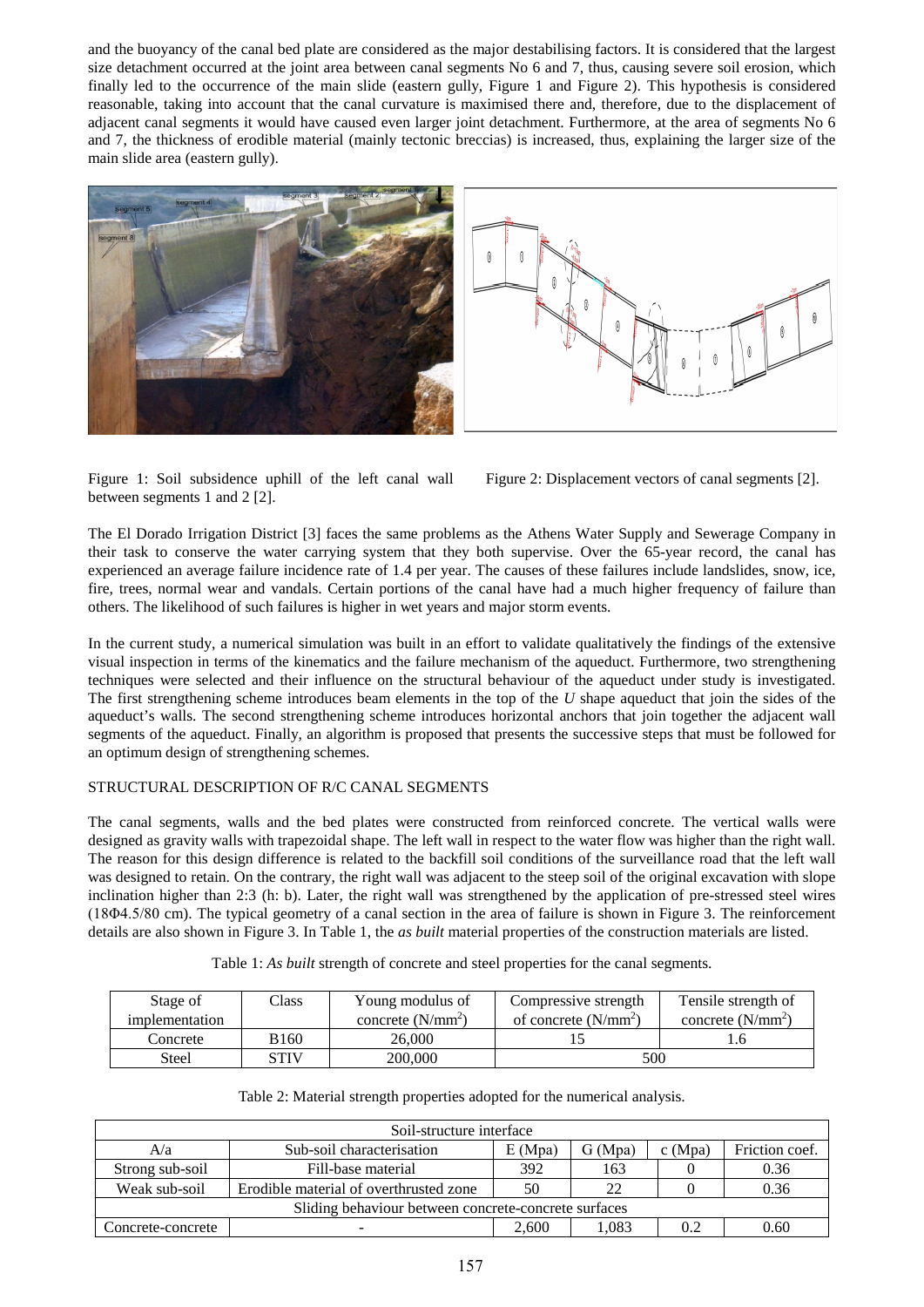and the buoyancy of the canal bed plate are considered as the major destabilising factors. It is considered that the largest size detachment occurred at the joint area between canal segments No 6 and 7, thus, causing severe soil erosion, which finally led to the occurrence of the main slide (eastern gully, Figure 1 and Figure 2). This hypothesis is considered reasonable, taking into account that the canal curvature is maximised there and, therefore, due to the displacement of adjacent canal segments it would have caused even larger joint detachment. Furthermore, at the area of segments No 6 and 7, the thickness of erodible material (mainly tectonic breccias) is increased, thus, explaining the larger size of the main slide area (eastern gully).





Figure 1: Soil subsidence uphill of the left canal wall between segments 1 and 2 [2].



The El Dorado Irrigation District [3] faces the same problems as the Athens Water Supply and Sewerage Company in their task to conserve the water carrying system that they both supervise. Over the 65-year record, the canal has experienced an average failure incidence rate of 1.4 per year. The causes of these failures include landslides, snow, ice, fire, trees, normal wear and vandals. Certain portions of the canal have had a much higher frequency of failure than others. The likelihood of such failures is higher in wet years and major storm events.

In the current study, a numerical simulation was built in an effort to validate qualitatively the findings of the extensive visual inspection in terms of the kinematics and the failure mechanism of the aqueduct. Furthermore, two strengthening techniques were selected and their influence on the structural behaviour of the aqueduct under study is investigated. The first strengthening scheme introduces beam elements in the top of the *U* shape aqueduct that join the sides of the aqueduct's walls. The second strengthening scheme introduces horizontal anchors that join together the adjacent wall segments of the aqueduct. Finally, an algorithm is proposed that presents the successive steps that must be followed for an optimum design of strengthening schemes.

## STRUCTURAL DESCRIPTION OF R/C CANAL SEGMENTS

The canal segments, walls and the bed plates were constructed from reinforced concrete. The vertical walls were designed as gravity walls with trapezoidal shape. The left wall in respect to the water flow was higher than the right wall. The reason for this design difference is related to the backfill soil conditions of the surveillance road that the left wall was designed to retain. On the contrary, the right wall was adjacent to the steep soil of the original excavation with slope inclination higher than 2:3 (h: b). Later, the right wall was strengthened by the application of pre-stressed steel wires (18Φ4.5/80 cm). The typical geometry of a canal section in the area of failure is shown in Figure 3. The reinforcement details are also shown in Figure 3. In Table 1, the *as built* material properties of the construction materials are listed.

| Stage of       | Class       | Young modulus of    | Compressive strength   | Tensile strength of |  |
|----------------|-------------|---------------------|------------------------|---------------------|--|
| implementation |             | concrete $(N/mm^2)$ | of concrete $(N/mm^2)$ | concrete $(N/mm^2)$ |  |
| Concrete       | <b>B160</b> | 26.000              |                        |                     |  |
| Steel          | STIV        | 200,000             | 500                    |                     |  |

| Table 1: As built strength of concrete and steel properties for the canal segments. |  |
|-------------------------------------------------------------------------------------|--|
|-------------------------------------------------------------------------------------|--|

| Soil-structure interface                             |                                                                           |       |       |     |      |  |  |
|------------------------------------------------------|---------------------------------------------------------------------------|-------|-------|-----|------|--|--|
| A/a                                                  | Sub-soil characterisation<br>E(Mpa)<br>G(Mpa)<br>c(Mpa)<br>Friction coef. |       |       |     |      |  |  |
| Strong sub-soil                                      | Fill-base material                                                        |       |       |     | 0.36 |  |  |
| Weak sub-soil                                        | Erodible material of overthrusted zone                                    |       |       |     | 0.36 |  |  |
| Sliding behaviour between concrete-concrete surfaces |                                                                           |       |       |     |      |  |  |
| Concrete-concrete                                    |                                                                           | 2.600 | 1.083 | 0.2 | 0.60 |  |  |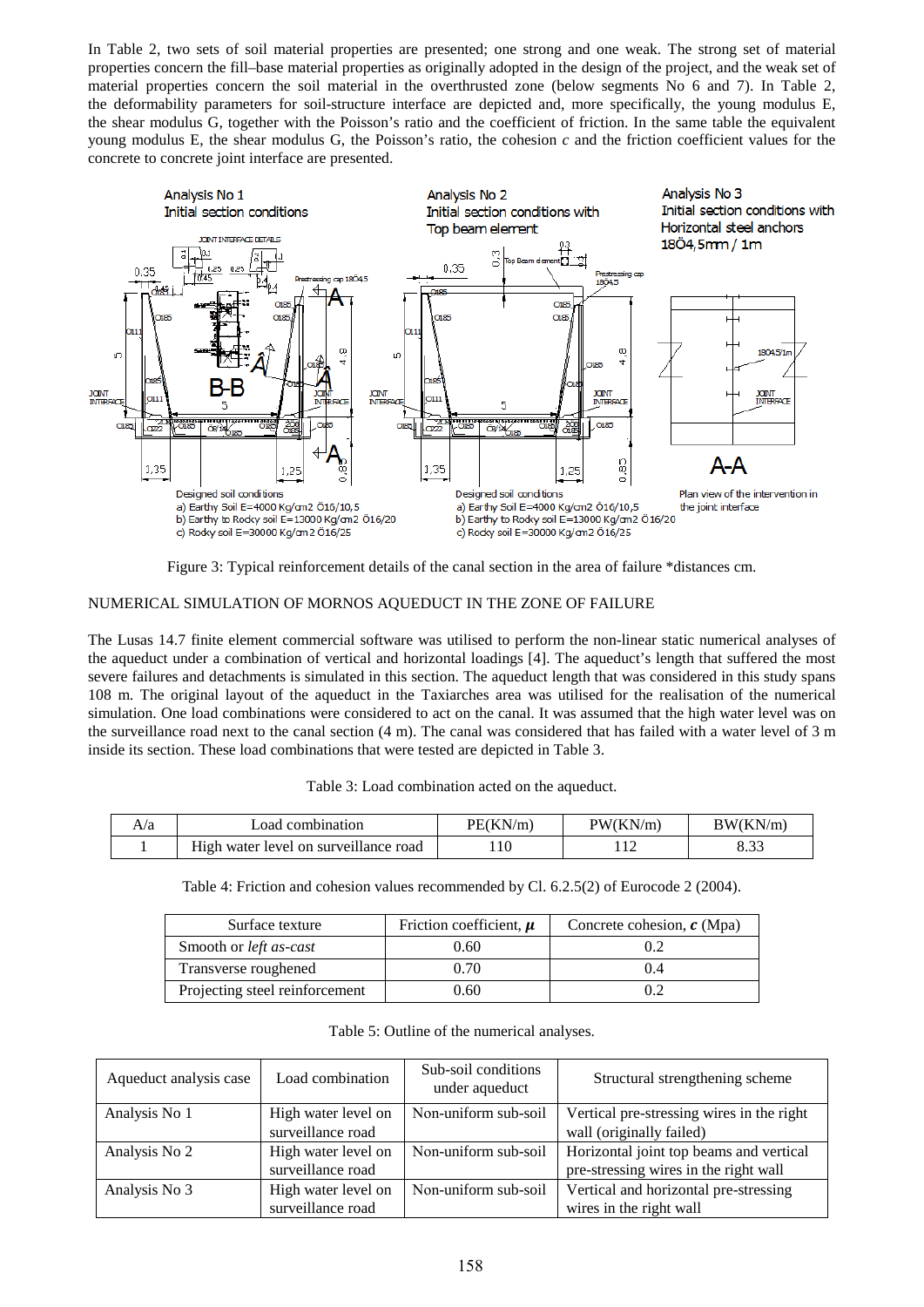In Table 2, two sets of soil material properties are presented; one strong and one weak. The strong set of material properties concern the fill–base material properties as originally adopted in the design of the project, and the weak set of material properties concern the soil material in the overthrusted zone (below segments No 6 and 7). In Table 2, the deformability parameters for soil-structure interface are depicted and, more specifically, the young modulus E, the shear modulus G, together with the Poisson's ratio and the coefficient of friction. In the same table the equivalent young modulus E, the shear modulus G, the Poisson's ratio, the cohesion *c* and the friction coefficient values for the concrete to concrete joint interface are presented.



Figure 3: Typical reinforcement details of the canal section in the area of failure \*distances cm.

# NUMERICAL SIMULATION OF MORNOS AQUEDUCT IN THE ZONE OF FAILURE

The Lusas 14.7 finite element commercial software was utilised to perform the non-linear static numerical analyses of the aqueduct under a combination of vertical and horizontal loadings [4]. The aqueduct's length that suffered the most severe failures and detachments is simulated in this section. The aqueduct length that was considered in this study spans 108 m. The original layout of the aqueduct in the Taxiarches area was utilised for the realisation of the numerical simulation. One load combinations were considered to act on the canal. It was assumed that the high water level was on the surveillance road next to the canal section (4 m). The canal was considered that has failed with a water level of 3 m inside its section. These load combinations that were tested are depicted in Table 3.

| Table 3: Load combination acted on the aqueduct. |
|--------------------------------------------------|
|                                                  |

| A/a | oad combination                       | PE(KN/m) | PW(KN/m) | BW(KN/m) |
|-----|---------------------------------------|----------|----------|----------|
|     | High water level on surveillance road | . 10     |          | 0.JJ     |

Table 4: Friction and cohesion values recommended by Cl. 6.2.5(2) of Eurocode 2 (2004).

| Surface texture                | Friction coefficient, $\mu$ | Concrete cohesion, $c$ (Mpa) |
|--------------------------------|-----------------------------|------------------------------|
| Smooth or <i>left as-cast</i>  | 0.60                        |                              |
| Transverse roughened           | 0.70                        | 1.4                          |
| Projecting steel reinforcement | 0.60                        |                              |

Table 5: Outline of the numerical analyses.

| Aqueduct analysis case | Load combination    | Sub-soil conditions<br>under aqueduct | Structural strengthening scheme           |
|------------------------|---------------------|---------------------------------------|-------------------------------------------|
| Analysis No 1          | High water level on | Non-uniform sub-soil                  | Vertical pre-stressing wires in the right |
|                        | surveillance road   |                                       | wall (originally failed)                  |
| Analysis No 2          | High water level on | Non-uniform sub-soil                  | Horizontal joint top beams and vertical   |
|                        | surveillance road   |                                       | pre-stressing wires in the right wall     |
| Analysis No 3          | High water level on | Non-uniform sub-soil                  | Vertical and horizontal pre-stressing     |
|                        | surveillance road   |                                       | wires in the right wall                   |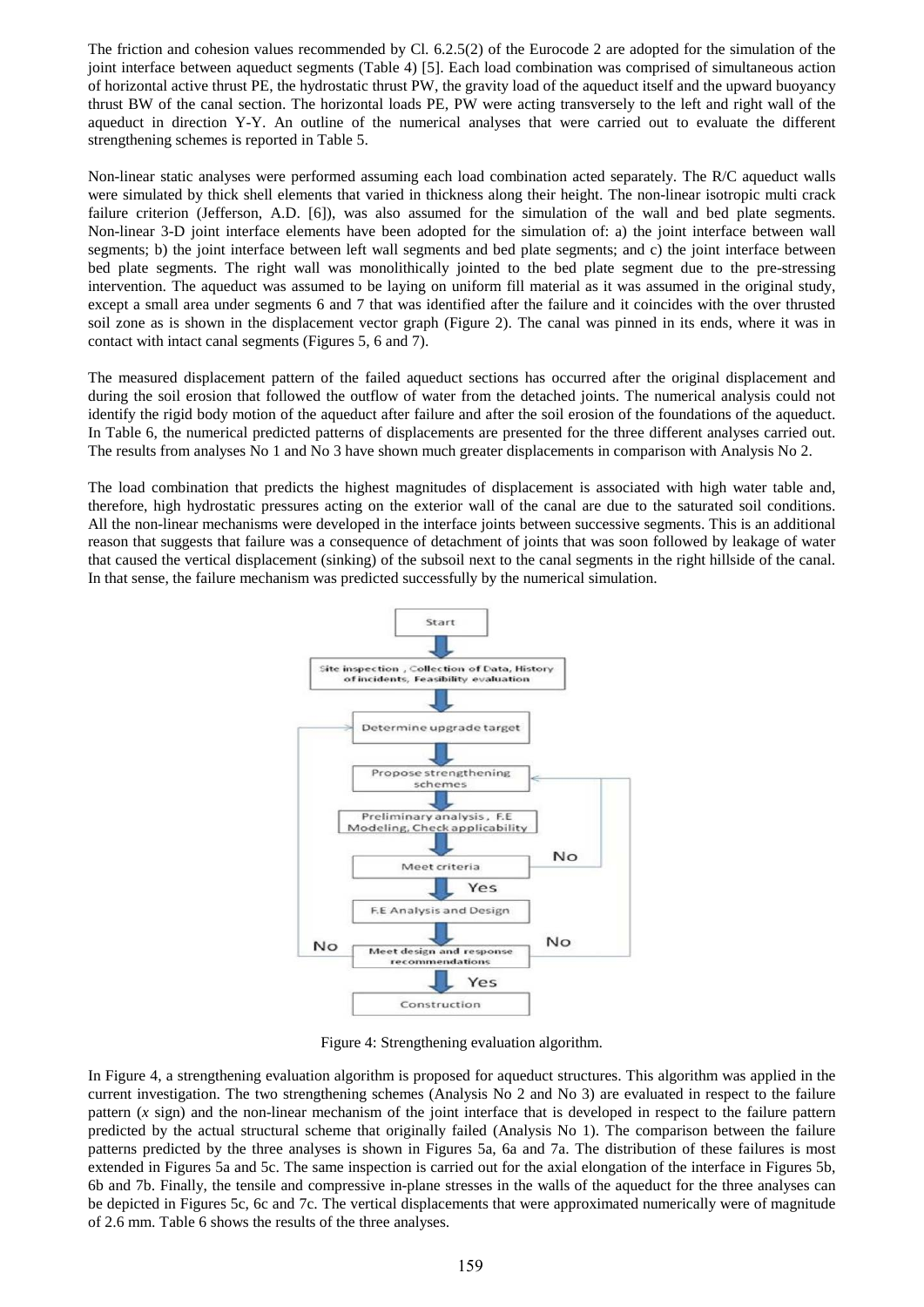The friction and cohesion values recommended by Cl. 6.2.5(2) of the Eurocode 2 are adopted for the simulation of the joint interface between aqueduct segments (Table 4) [5]. Each load combination was comprised of simultaneous action of horizontal active thrust PE, the hydrostatic thrust PW, the gravity load of the aqueduct itself and the upward buoyancy thrust BW of the canal section. The horizontal loads PE, PW were acting transversely to the left and right wall of the aqueduct in direction Y-Y. An outline of the numerical analyses that were carried out to evaluate the different strengthening schemes is reported in Table 5.

Non-linear static analyses were performed assuming each load combination acted separately. The R/C aqueduct walls were simulated by thick shell elements that varied in thickness along their height. The non-linear isotropic multi crack failure criterion (Jefferson, A.D. [6]), was also assumed for the simulation of the wall and bed plate segments. Non-linear 3-D joint interface elements have been adopted for the simulation of: a) the joint interface between wall segments; b) the joint interface between left wall segments and bed plate segments; and c) the joint interface between bed plate segments. The right wall was monolithically jointed to the bed plate segment due to the pre-stressing intervention. The aqueduct was assumed to be laying on uniform fill material as it was assumed in the original study, except a small area under segments 6 and 7 that was identified after the failure and it coincides with the over thrusted soil zone as is shown in the displacement vector graph (Figure 2). The canal was pinned in its ends, where it was in contact with intact canal segments (Figures 5, 6 and 7).

The measured displacement pattern of the failed aqueduct sections has occurred after the original displacement and during the soil erosion that followed the outflow of water from the detached joints. The numerical analysis could not identify the rigid body motion of the aqueduct after failure and after the soil erosion of the foundations of the aqueduct. In Table 6, the numerical predicted patterns of displacements are presented for the three different analyses carried out. The results from analyses No 1 and No 3 have shown much greater displacements in comparison with Analysis No 2.

The load combination that predicts the highest magnitudes of displacement is associated with high water table and, therefore, high hydrostatic pressures acting on the exterior wall of the canal are due to the saturated soil conditions. All the non-linear mechanisms were developed in the interface joints between successive segments. This is an additional reason that suggests that failure was a consequence of detachment of joints that was soon followed by leakage of water that caused the vertical displacement (sinking) of the subsoil next to the canal segments in the right hillside of the canal. In that sense, the failure mechanism was predicted successfully by the numerical simulation.



Figure 4: Strengthening evaluation algorithm.

In Figure 4, a strengthening evaluation algorithm is proposed for aqueduct structures. This algorithm was applied in the current investigation. The two strengthening schemes (Analysis No 2 and No 3) are evaluated in respect to the failure pattern (*x* sign) and the non-linear mechanism of the joint interface that is developed in respect to the failure pattern predicted by the actual structural scheme that originally failed (Analysis No 1). The comparison between the failure patterns predicted by the three analyses is shown in Figures 5a, 6a and 7a. The distribution of these failures is most extended in Figures 5a and 5c. The same inspection is carried out for the axial elongation of the interface in Figures 5b, 6b and 7b. Finally, the tensile and compressive in-plane stresses in the walls of the aqueduct for the three analyses can be depicted in Figures 5c, 6c and 7c. The vertical displacements that were approximated numerically were of magnitude of 2.6 mm. Table 6 shows the results of the three analyses.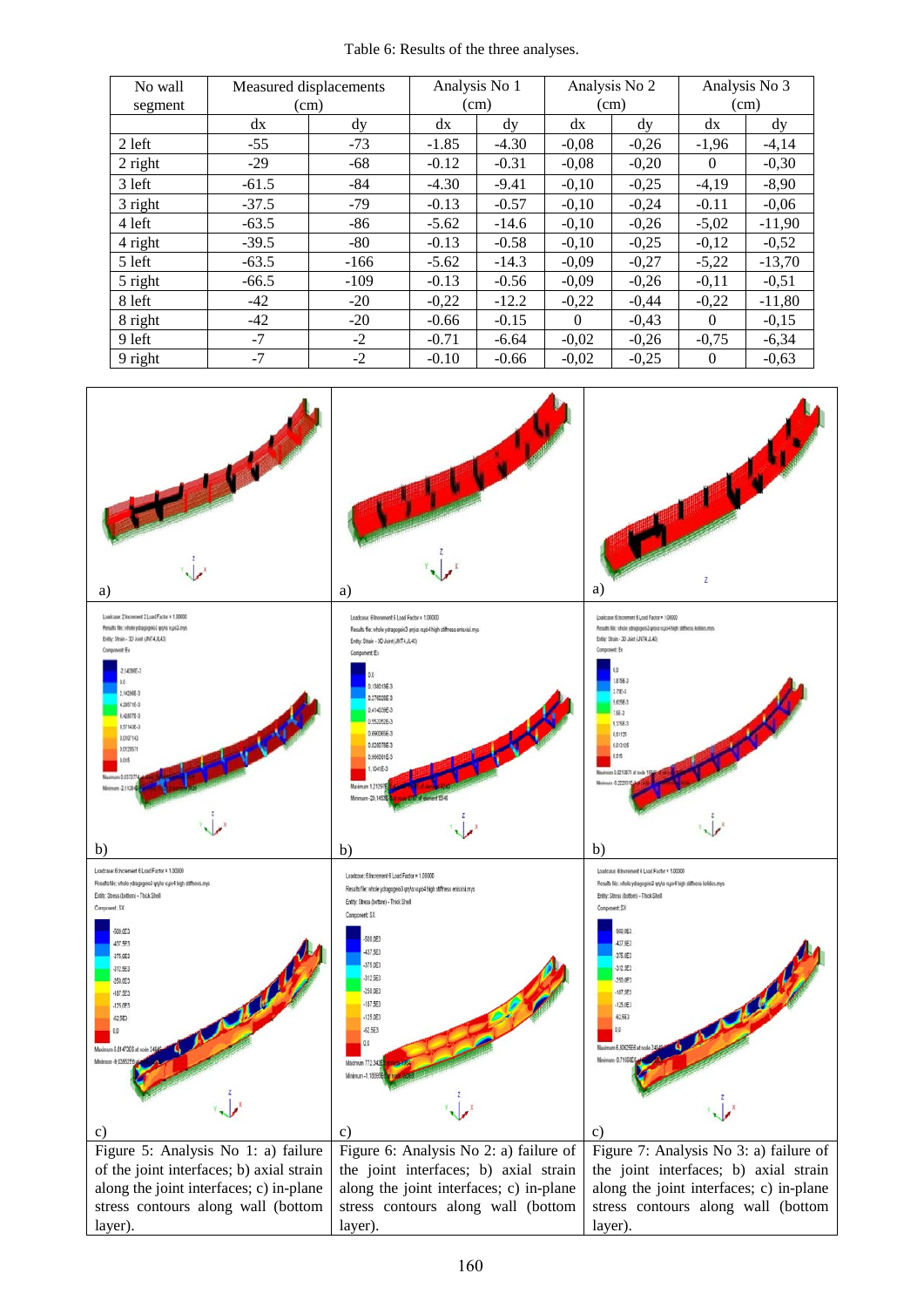Table 6: Results of the three analyses.

| No wall   | Measured displacements |        |         | Analysis No 1 |          | Analysis No 2 | Analysis No 3 |          |  |
|-----------|------------------------|--------|---------|---------------|----------|---------------|---------------|----------|--|
| segment   | (cm)                   |        |         | (cm)          |          | (cm)          |               | (cm)     |  |
|           | dx                     | dy     | dx      | dy            | dx       | $\rm{d}v$     | dx            | dy       |  |
| 2 left    | $-55$                  | $-73$  | $-1.85$ | $-4.30$       | $-0.08$  | $-0,26$       | $-1,96$       | $-4,14$  |  |
| $2$ right | $-29$                  | $-68$  | $-0.12$ | $-0.31$       | $-0.08$  | $-0,20$       | $\theta$      | $-0,30$  |  |
| 3 left    | $-61.5$                | $-84$  | $-4.30$ | $-9.41$       | $-0,10$  | $-0,25$       | $-4,19$       | $-8,90$  |  |
| 3 right   | $-37.5$                | $-79$  | $-0.13$ | $-0.57$       | $-0,10$  | $-0,24$       | $-0.11$       | $-0,06$  |  |
| 4 left    | $-63.5$                | $-86$  | $-5.62$ | $-14.6$       | $-0,10$  | $-0,26$       | $-5,02$       | $-11,90$ |  |
| 4 right   | $-39.5$                | $-80$  | $-0.13$ | $-0.58$       | $-0,10$  | $-0,25$       | $-0,12$       | $-0,52$  |  |
| 5 left    | $-63.5$                | $-166$ | $-5.62$ | $-14.3$       | $-0.09$  | $-0,27$       | $-5,22$       | $-13.70$ |  |
| 5 right   | $-66.5$                | $-109$ | $-0.13$ | $-0.56$       | $-0,09$  | $-0,26$       | $-0,11$       | $-0,51$  |  |
| 8 left    | -42                    | $-20$  | $-0,22$ | $-12.2$       | $-0,22$  | $-0,44$       | $-0,22$       | $-11,80$ |  |
| 8 right   | $-42$                  | $-20$  | $-0.66$ | $-0.15$       | $\Omega$ | $-0,43$       | $\Omega$      | $-0,15$  |  |
| 9 left    | $-7$                   | $-2$   | $-0.71$ | $-6.64$       | $-0,02$  | $-0,26$       | $-0,75$       | $-6,34$  |  |
| 9 right   | $-7$                   | $-2$   | $-0.10$ | $-0.66$       | $-0,02$  | $-0,25$       | $\Omega$      | $-0.63$  |  |